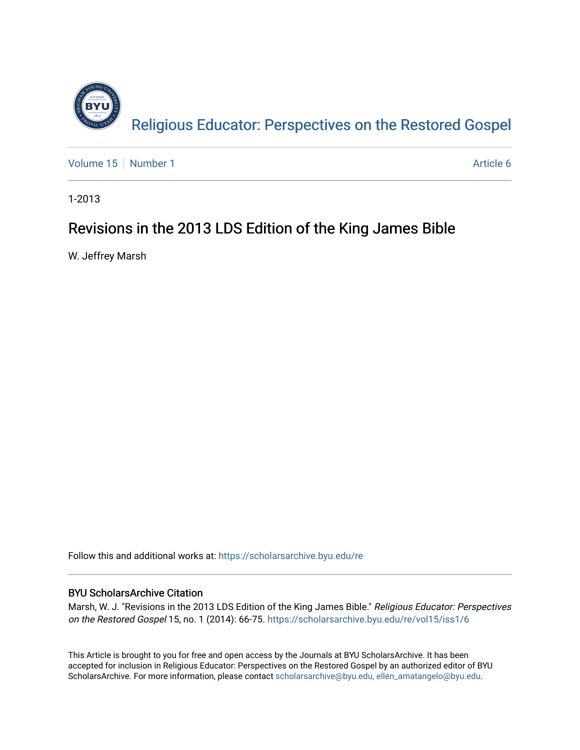

[Volume 15](https://scholarsarchive.byu.edu/re/vol15) [Number 1](https://scholarsarchive.byu.edu/re/vol15/iss1) Article 6

1-2013

# Revisions in the 2013 LDS Edition of the King James Bible

W. Jeffrey Marsh

Follow this and additional works at: [https://scholarsarchive.byu.edu/re](https://scholarsarchive.byu.edu/re?utm_source=scholarsarchive.byu.edu%2Fre%2Fvol15%2Fiss1%2F6&utm_medium=PDF&utm_campaign=PDFCoverPages)

# BYU ScholarsArchive Citation

Marsh, W. J. "Revisions in the 2013 LDS Edition of the King James Bible." Religious Educator: Perspectives on the Restored Gospel 15, no. 1 (2014): 66-75. [https://scholarsarchive.byu.edu/re/vol15/iss1/6](https://scholarsarchive.byu.edu/re/vol15/iss1/6?utm_source=scholarsarchive.byu.edu%2Fre%2Fvol15%2Fiss1%2F6&utm_medium=PDF&utm_campaign=PDFCoverPages) 

This Article is brought to you for free and open access by the Journals at BYU ScholarsArchive. It has been accepted for inclusion in Religious Educator: Perspectives on the Restored Gospel by an authorized editor of BYU ScholarsArchive. For more information, please contact [scholarsarchive@byu.edu, ellen\\_amatangelo@byu.edu.](mailto:scholarsarchive@byu.edu,%20ellen_amatangelo@byu.edu)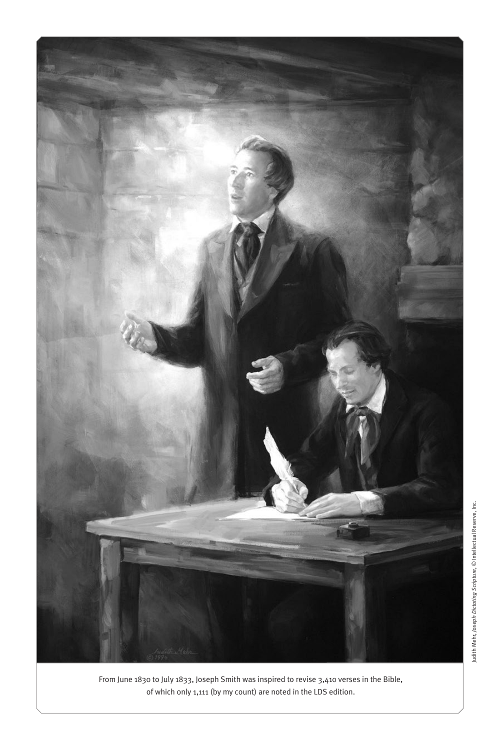

From June 1830 to July 1833, Joseph Smith was inspired to revise 3,410 verses in the Bible, of which only 1,111 (by my count) are noted in the LDS edition.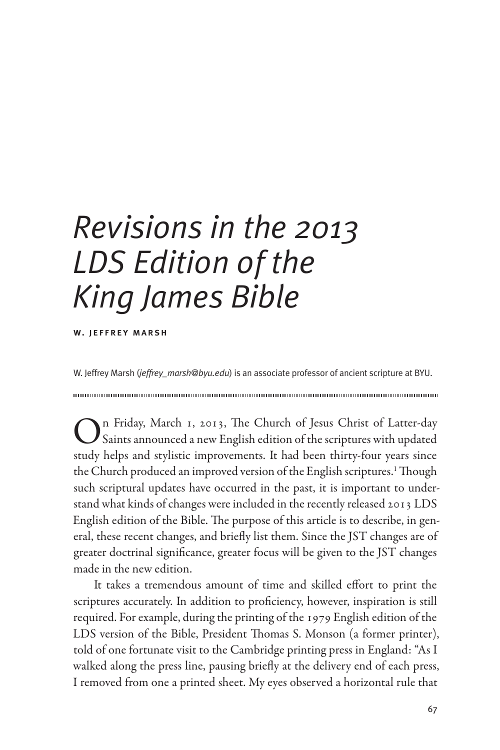# *Revisions in the 2013 LDS Edition of the King James Bible*

w. jeffrey marsh

W. Jeffrey Marsh (*jeffrey\_marsh@byu.edu*) is an associate professor of ancient scripture at BYU.

On Friday, March 1, 2013, The Church of Jesus Christ of Latter-day Saints announced a new English edition of the scriptures with updated study helps and stylistic improvements. It had been thirty-four years since the Church produced an improved version of the English scriptures.<sup>1</sup> Though such scriptural updates have occurred in the past, it is important to understand what kinds of changes were included in the recently released 2013 LDS English edition of the Bible. The purpose of this article is to describe, in general, these recent changes, and briefly list them. Since the JST changes are of greater doctrinal significance, greater focus will be given to the JST changes made in the new edition.

It takes a tremendous amount of time and skilled effort to print the scriptures accurately. In addition to proficiency, however, inspiration is still required. For example, during the printing of the 1979 English edition of the LDS version of the Bible, President Thomas S. Monson (a former printer), told of one fortunate visit to the Cambridge printing press in England: "As I walked along the press line, pausing briefly at the delivery end of each press, I removed from one a printed sheet. My eyes observed a horizontal rule that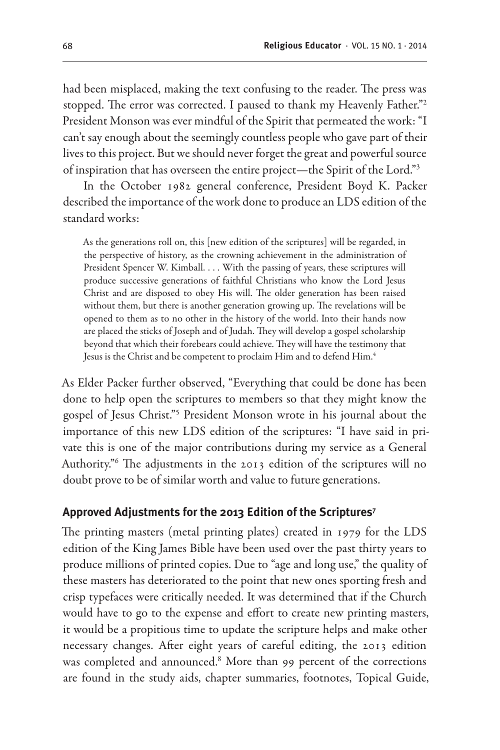had been misplaced, making the text confusing to the reader. The press was stopped. The error was corrected. I paused to thank my Heavenly Father."2 President Monson was ever mindful of the Spirit that permeated the work: "I can't say enough about the seemingly countless people who gave part of their lives to this project. But we should never forget the great and powerful source of inspiration that has overseen the entire project—the Spirit of the Lord."3

In the October 1982 general conference, President Boyd K. Packer described the importance of the work done to produce an LDS edition of the standard works:

As the generations roll on, this [new edition of the scriptures] will be regarded, in the perspective of history, as the crowning achievement in the administration of President Spencer W. Kimball. . . . With the passing of years, these scriptures will produce successive generations of faithful Christians who know the Lord Jesus Christ and are disposed to obey His will. The older generation has been raised without them, but there is another generation growing up. The revelations will be opened to them as to no other in the history of the world. Into their hands now are placed the sticks of Joseph and of Judah. They will develop a gospel scholarship beyond that which their forebears could achieve. They will have the testimony that Jesus is the Christ and be competent to proclaim Him and to defend Him.<sup>4</sup>

As Elder Packer further observed, "Everything that could be done has been done to help open the scriptures to members so that they might know the gospel of Jesus Christ."5 President Monson wrote in his journal about the importance of this new LDS edition of the scriptures: "I have said in private this is one of the major contributions during my service as a General Authority."6 The adjustments in the 2013 edition of the scriptures will no doubt prove to be of similar worth and value to future generations.

# **Approved Adjustments for the 2013 Edition of the Scriptures7**

The printing masters (metal printing plates) created in 1979 for the LDS edition of the King James Bible have been used over the past thirty years to produce millions of printed copies. Due to "age and long use," the quality of these masters has deteriorated to the point that new ones sporting fresh and crisp typefaces were critically needed. It was determined that if the Church would have to go to the expense and effort to create new printing masters, it would be a propitious time to update the scripture helps and make other necessary changes. After eight years of careful editing, the 2013 edition was completed and announced.<sup>8</sup> More than 99 percent of the corrections are found in the study aids, chapter summaries, footnotes, Topical Guide,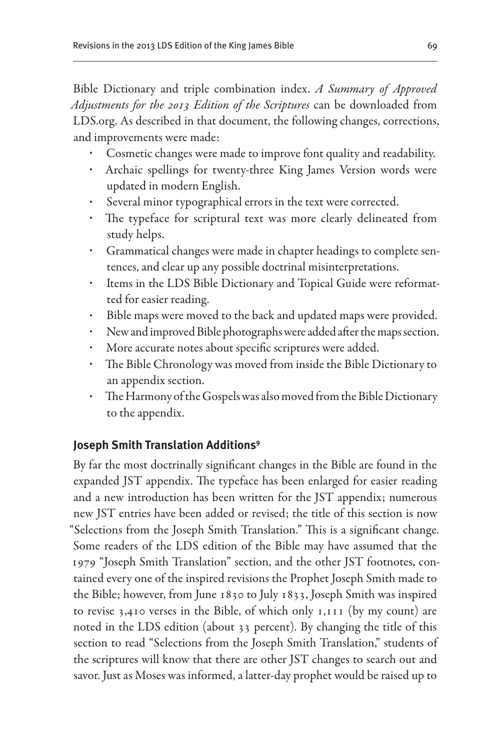Bible Dictionary and triple combination index. *A Summary of Approved Adjustments for the 2013 Edition of the Scriptures* can be downloaded from LDS.org. As described in that document, the following changes, corrections, and improvements were made:

- Cosmetic changes were made to improve font quality and readability.
- Archaic spellings for twenty-three King James Version words were updated in modern English.
- Several minor typographical errors in the text were corrected.
- The typeface for scriptural text was more clearly delineated from study helps.
- Grammatical changes were made in chapter headings to complete sentences, and clear up any possible doctrinal misinterpretations.
- Items in the LDS Bible Dictionary and Topical Guide were reformatted for easier reading.
- Bible maps were moved to the back and updated maps were provided.
- New and improved Bible photographs were added after the maps section.
- More accurate notes about specific scriptures were added.
- The Bible Chronology was moved from inside the Bible Dictionary to an appendix section.
- The Harmony of the Gospels was also moved from the Bible Dictionary to the appendix.

# **Joseph Smith Translation Additions9**

By far the most doctrinally significant changes in the Bible are found in the expanded JST appendix. The typeface has been enlarged for easier reading and a new introduction has been written for the JST appendix; numerous new JST entries have been added or revised; the title of this section is now "Selections from the Joseph Smith Translation." This is a significant change. Some readers of the LDS edition of the Bible may have assumed that the 1979 "Joseph Smith Translation" section, and the other JST footnotes, contained every one of the inspired revisions the Prophet Joseph Smith made to the Bible; however, from June 1830 to July 1833, Joseph Smith was inspired to revise 3,410 verses in the Bible, of which only 1,111 (by my count) are noted in the LDS edition (about 33 percent). By changing the title of this section to read "Selections from the Joseph Smith Translation," students of the scriptures will know that there are other JST changes to search out and savor. Just as Moses was informed, a latter-day prophet would be raised up to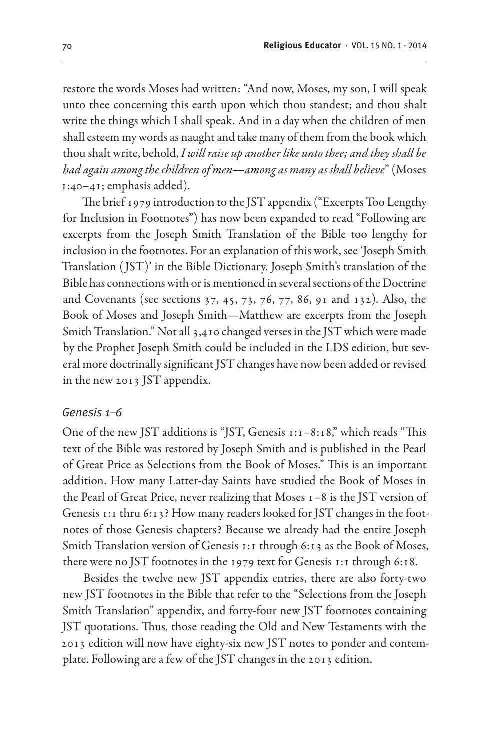restore the words Moses had written: "And now, Moses, my son, I will speak unto thee concerning this earth upon which thou standest; and thou shalt write the things which I shall speak. And in a day when the children of men shall esteem my words as naught and take many of them from the book which thou shalt write, behold, *I will raise up another like unto thee; and they shall be had again among the children of men—among as many as shall believe*" (Moses 1:40–41; emphasis added).

The brief 1979 introduction to the JST appendix ("Excerpts Too Lengthy for Inclusion in Footnotes") has now been expanded to read "Following are excerpts from the Joseph Smith Translation of the Bible too lengthy for inclusion in the footnotes. For an explanation of this work, see 'Joseph Smith Translation ( JST)' in the Bible Dictionary. Joseph Smith's translation of the Bible has connections with or is mentioned in several sections of the Doctrine and Covenants (see sections 37, 45, 73, 76, 77, 86, 91 and 132). Also, the Book of Moses and Joseph Smith—Matthew are excerpts from the Joseph Smith Translation." Not all 3,410 changed verses in the JST which were made by the Prophet Joseph Smith could be included in the LDS edition, but several more doctrinally significant JST changes have now been added or revised in the new 2013 JST appendix.

# *Genesis 1–6*

One of the new JST additions is "JST, Genesis 1:1–8:18," which reads "This text of the Bible was restored by Joseph Smith and is published in the Pearl of Great Price as Selections from the Book of Moses." This is an important addition. How many Latter-day Saints have studied the Book of Moses in the Pearl of Great Price, never realizing that Moses 1–8 is the JST version of Genesis 1:1 thru 6:13? How many readers looked for JST changes in the footnotes of those Genesis chapters? Because we already had the entire Joseph Smith Translation version of Genesis 1:1 through 6:13 as the Book of Moses, there were no JST footnotes in the 1979 text for Genesis 1:1 through 6:18.

Besides the twelve new JST appendix entries, there are also forty-two new JST footnotes in the Bible that refer to the "Selections from the Joseph Smith Translation" appendix, and forty-four new JST footnotes containing JST quotations. Thus, those reading the Old and New Testaments with the 2013 edition will now have eighty-six new JST notes to ponder and contemplate. Following are a few of the JST changes in the 2013 edition.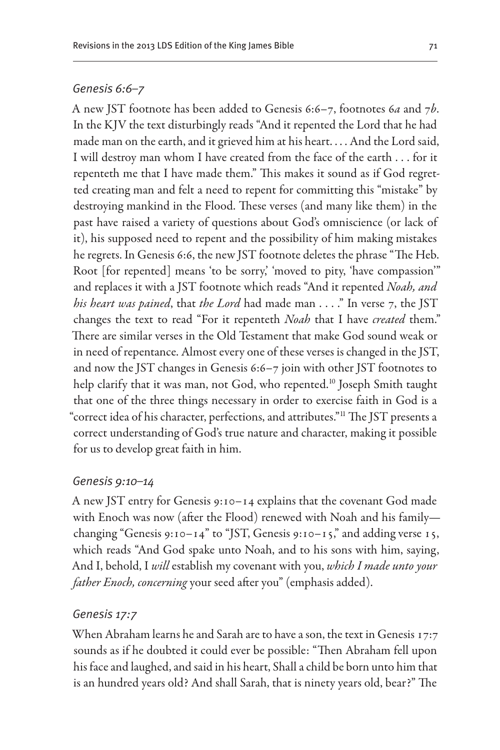# *Genesis 6:6–7*

A new JST footnote has been added to Genesis 6:6–7, footnotes 6*a* and 7*b*. In the KJV the text disturbingly reads "And it repented the Lord that he had made man on the earth, and it grieved him at his heart. . . . And the Lord said, I will destroy man whom I have created from the face of the earth . . . for it repenteth me that I have made them." This makes it sound as if God regretted creating man and felt a need to repent for committing this "mistake" by destroying mankind in the Flood. These verses (and many like them) in the past have raised a variety of questions about God's omniscience (or lack of it), his supposed need to repent and the possibility of him making mistakes he regrets. In Genesis 6:6, the new JST footnote deletes the phrase "The Heb. Root [for repented] means 'to be sorry,' 'moved to pity, 'have compassion'" and replaces it with a JST footnote which reads "And it repented *Noah, and his heart was pained*, that *the Lord* had made man . . . ." In verse 7, the JST changes the text to read "For it repenteth *Noah* that I have *created* them." There are similar verses in the Old Testament that make God sound weak or in need of repentance. Almost every one of these verses is changed in the JST, and now the JST changes in Genesis 6:6–7 join with other JST footnotes to help clarify that it was man, not God, who repented.<sup>10</sup> Joseph Smith taught that one of the three things necessary in order to exercise faith in God is a "correct idea of his character, perfections, and attributes."11 The JST presents a correct understanding of God's true nature and character, making it possible for us to develop great faith in him.

#### *Genesis 9:10–14*

A new JST entry for Genesis 9:10–14 explains that the covenant God made with Enoch was now (after the Flood) renewed with Noah and his family changing "Genesis 9:10–14" to "JST, Genesis 9:10–15," and adding verse 15, which reads "And God spake unto Noah, and to his sons with him, saying, And I, behold, I *will* establish my covenant with you, *which I made unto your father Enoch, concerning* your seed after you" (emphasis added).

#### *Genesis 17:7*

When Abraham learns he and Sarah are to have a son, the text in Genesis 17:7 sounds as if he doubted it could ever be possible: "Then Abraham fell upon his face and laughed, and said in his heart, Shall a child be born unto him that is an hundred years old? And shall Sarah, that is ninety years old, bear?" The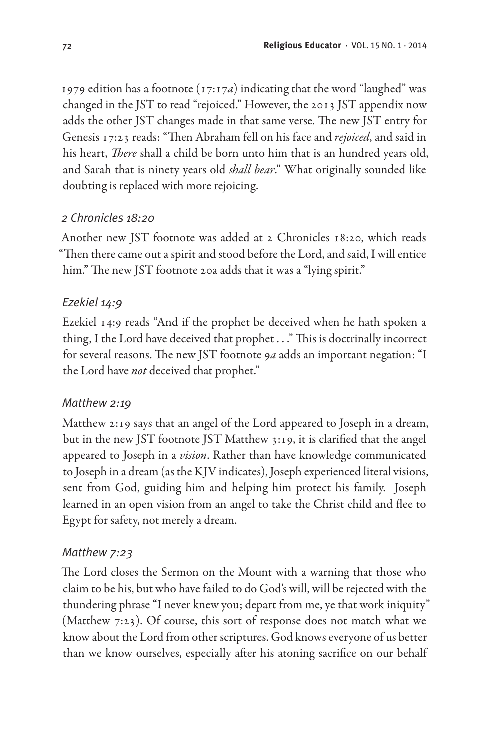1979 edition has a footnote (17:17*a*) indicating that the word "laughed" was changed in the JST to read "rejoiced." However, the 2013 JST appendix now adds the other JST changes made in that same verse. The new JST entry for Genesis 17:23 reads: "Then Abraham fell on his face and *rejoiced*, and said in his heart, *There* shall a child be born unto him that is an hundred years old, and Sarah that is ninety years old *shall bear*." What originally sounded like doubting is replaced with more rejoicing.

# *2 Chronicles 18:20*

Another new JST footnote was added at 2 Chronicles 18:20, which reads "Then there came out a spirit and stood before the Lord, and said, I will entice him." The new JST footnote 20a adds that it was a "lying spirit."

# *Ezekiel 14:9*

Ezekiel 14:9 reads "And if the prophet be deceived when he hath spoken a thing, I the Lord have deceived that prophet . . ." This is doctrinally incorrect for several reasons. The new JST footnote 9*a* adds an important negation: "I the Lord have *not* deceived that prophet."

# *Matthew 2:19*

Matthew 2:19 says that an angel of the Lord appeared to Joseph in a dream, but in the new JST footnote JST Matthew 3:19, it is clarified that the angel appeared to Joseph in a *vision*. Rather than have knowledge communicated to Joseph in a dream (as the KJV indicates), Joseph experienced literal visions, sent from God, guiding him and helping him protect his family. Joseph learned in an open vision from an angel to take the Christ child and flee to Egypt for safety, not merely a dream.

#### *Matthew 7:23*

The Lord closes the Sermon on the Mount with a warning that those who claim to be his, but who have failed to do God's will, will be rejected with the thundering phrase "I never knew you; depart from me, ye that work iniquity" (Matthew 7:23). Of course, this sort of response does not match what we know about the Lord from other scriptures. God knows everyone of us better than we know ourselves, especially after his atoning sacrifice on our behalf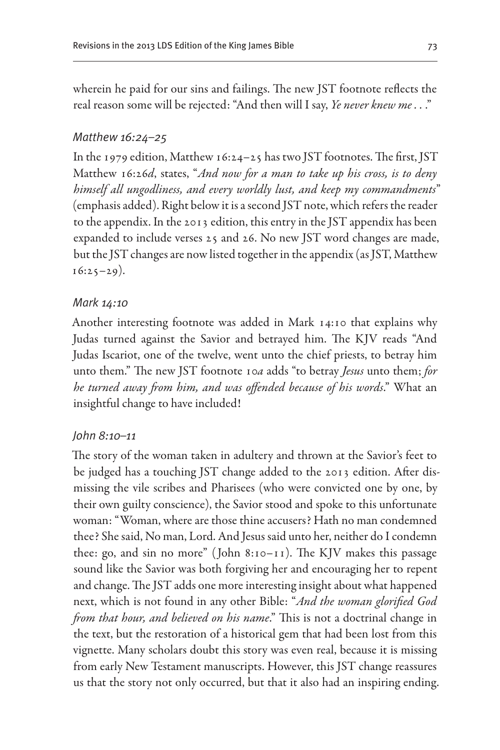wherein he paid for our sins and failings. The new JST footnote reflects the real reason some will be rejected: "And then will I say, *Ye never knew me . .* ."

# *Matthew 16:24–25*

In the 1979 edition, Matthew 16:24–25 has two JST footnotes. The first, JST Matthew 16:26*d*, states, "*And now for a man to take up his cross, is to deny himself all ungodliness, and every worldly lust, and keep my commandments*" (emphasis added). Right below it is a second JST note, which refers the reader to the appendix. In the 2013 edition, this entry in the JST appendix has been expanded to include verses 25 and 26. No new JST word changes are made, but the JST changes are now listed together in the appendix (as JST, Matthew  $16:25-29$ ).

#### *Mark 14:10*

Another interesting footnote was added in Mark 14:10 that explains why Judas turned against the Savior and betrayed him. The KJV reads "And Judas Iscariot, one of the twelve, went unto the chief priests, to betray him unto them." The new JST footnote 10*a* adds "to betray *Jesus* unto them; *for he turned away from him, and was offended because of his words*." What an insightful change to have included!

#### *John 8:10–11*

The story of the woman taken in adultery and thrown at the Savior's feet to be judged has a touching JST change added to the 2013 edition. After dismissing the vile scribes and Pharisees (who were convicted one by one, by their own guilty conscience), the Savior stood and spoke to this unfortunate woman: "Woman, where are those thine accusers? Hath no man condemned thee? She said, No man, Lord. And Jesus said unto her, neither do I condemn thee: go, and sin no more" (John 8:10–11). The KJV makes this passage sound like the Savior was both forgiving her and encouraging her to repent and change. The JST adds one more interesting insight about what happened next, which is not found in any other Bible: "*And the woman glorified God from that hour, and believed on his name*." This is not a doctrinal change in the text, but the restoration of a historical gem that had been lost from this vignette. Many scholars doubt this story was even real, because it is missing from early New Testament manuscripts. However, this JST change reassures us that the story not only occurred, but that it also had an inspiring ending.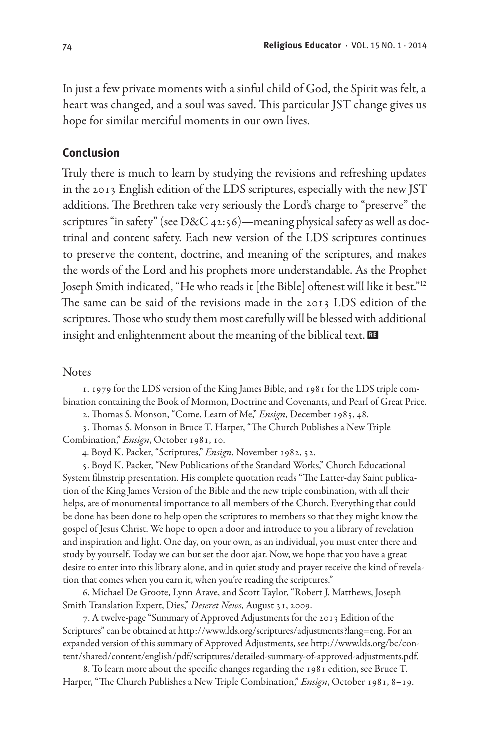In just a few private moments with a sinful child of God, the Spirit was felt, a heart was changed, and a soul was saved. This particular JST change gives us hope for similar merciful moments in our own lives.

# **Conclusion**

Truly there is much to learn by studying the revisions and refreshing updates in the 2013 English edition of the LDS scriptures, especially with the new JST additions. The Brethren take very seriously the Lord's charge to "preserve" the scriptures "in safety" (see D&C 42:56)—meaning physical safety as well as doctrinal and content safety. Each new version of the LDS scriptures continues to preserve the content, doctrine, and meaning of the scriptures, and makes the words of the Lord and his prophets more understandable. As the Prophet Joseph Smith indicated, "He who reads it [the Bible] oftenest will like it best."12 The same can be said of the revisions made in the 2013 LDS edition of the scriptures. Those who study them most carefully will be blessed with additional insight and enlightenment about the meaning of the biblical text.  $\Xi$ 

#### **Notes**

2. Thomas S. Monson, "Come, Learn of Me," *Ensign*, December 1985, 48.

5. Boyd K. Packer, "New Publications of the Standard Works," Church Educational System filmstrip presentation. His complete quotation reads "The Latter-day Saint publication of the King James Version of the Bible and the new triple combination, with all their helps, are of monumental importance to all members of the Church. Everything that could be done has been done to help open the scriptures to members so that they might know the gospel of Jesus Christ. We hope to open a door and introduce to you a library of revelation and inspiration and light. One day, on your own, as an individual, you must enter there and study by yourself. Today we can but set the door ajar. Now, we hope that you have a great desire to enter into this library alone, and in quiet study and prayer receive the kind of revelation that comes when you earn it, when you're reading the scriptures."

6. Michael De Groote, Lynn Arave, and Scott Taylor, "Robert J. Matthews, Joseph Smith Translation Expert, Dies," *Deseret News*, August 31, 2009.

7. A twelve-page "Summary of Approved Adjustments for the 2013 Edition of the Scriptures" can be obtained at http://www.lds.org/scriptures/adjustments?lang=eng. For an expanded version of this summary of Approved Adjustments, see http://www.lds.org/bc/content/shared/content/english/pdf/scriptures/detailed-summary-of-approved-adjustments.pdf.

8. To learn more about the specific changes regarding the 1981 edition, see Bruce T. Harper, "The Church Publishes a New Triple Combination," *Ensign*, October 1981, 8–19.

<sup>1. 1979</sup> for the LDS version of the King James Bible, and 1981 for the LDS triple combination containing the Book of Mormon, Doctrine and Covenants, and Pearl of Great Price.

<sup>3.</sup> Thomas S. Monson in Bruce T. Harper, "The Church Publishes a New Triple Combination," *Ensign*, October 1981, 10.

<sup>4.</sup> Boyd K. Packer, "Scriptures," *Ensign*, November 1982, 52.